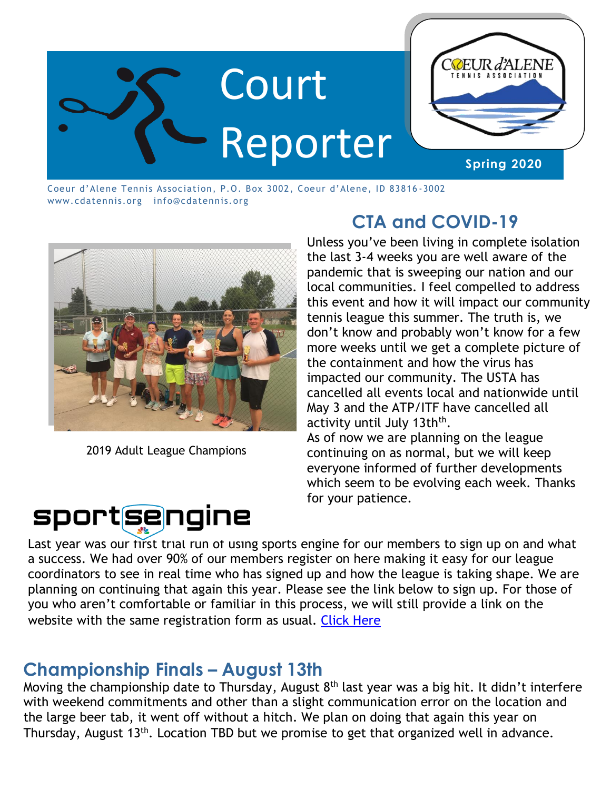

Coeur d'Alene Tennis Association, P.O. Box 3002, Coeur d'Alene, ID 83816 -3002 www.cdatennis.org info@cdatennis.org



2019 Adult League Champions

sportsengine

# **CTA and COVID-19**

Unless you've been living in complete isolation the last 3-4 weeks you are well aware of the pandemic that is sweeping our nation and our local communities. I feel compelled to address this event and how it will impact our community tennis league this summer. The truth is, we don't know and probably won't know for a few more weeks until we get a complete picture of the containment and how the virus has impacted our community. The USTA has cancelled all events local and nationwide until May 3 and the ATP/ITF have cancelled all activity until July 13th<sup>th</sup>.

As of now we are planning on the league continuing on as normal, but we will keep everyone informed of further developments which seem to be evolving each week. Thanks for your patience.

Last year was our first trial run of using sports engine for our members to sign up on and what a success. We had over 90% of our members register on here making it easy for our league coordinators to see in real time who has signed up and how the league is taking shape. We are planning on continuing that again this year. Please see the link below to sign up. For those of you who aren't comfortable or familiar in this process, we will still provide a link on the website with the same registration form as usual. Click Here

#### **Championship Finals – August 13th**

Moving the championship date to Thursday, August  $8<sup>th</sup>$  last year was a big hit. It didn't interfere with weekend commitments and other than a slight communication error on the location and the large beer tab, it went off without a hitch. We plan on doing that again this year on Thursday, August 13<sup>th</sup>. Location TBD but we promise to get that organized well in advance.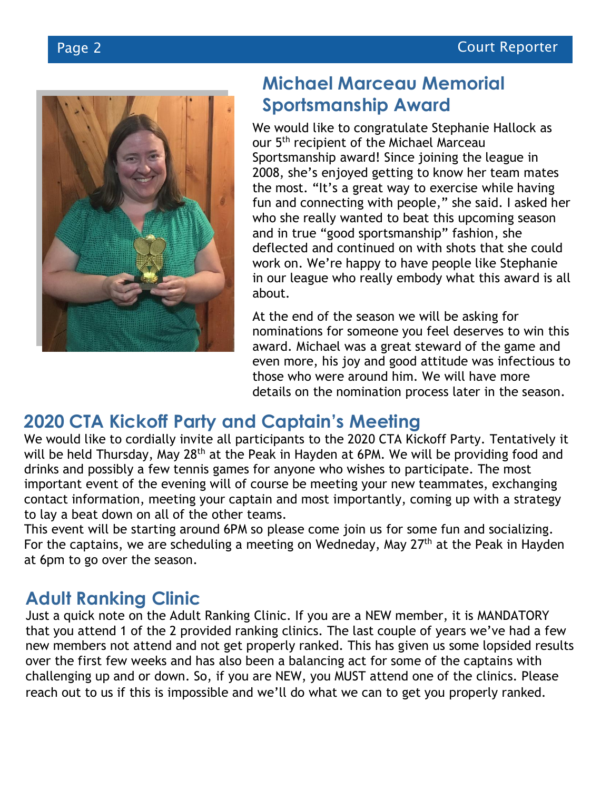

#### **Michael Marceau Memorial Sportsmanship Award**

We would like to congratulate Stephanie Hallock as our 5<sup>th</sup> recipient of the Michael Marceau Sportsmanship award! Since joining the league in 2008, she's enjoyed getting to know her team mates the most. "It's a great way to exercise while having fun and connecting with people," she said. I asked her who she really wanted to beat this upcoming season and in true "good sportsmanship" fashion, she deflected and continued on with shots that she could work on. We're happy to have people like Stephanie in our league who really embody what this award is all about.

At the end of the season we will be asking for nominations for someone you feel deserves to win this award. Michael was a great steward of the game and even more, his joy and good attitude was infectious to those who were around him. We will have more details on the nomination process later in the season.

## **2020 CTA Kickoff Party and Captain's Meeting**

We would like to cordially invite all participants to the 2020 CTA Kickoff Party. Tentatively it will be held Thursday, May 28<sup>th</sup> at the Peak in Hayden at 6PM. We will be providing food and drinks and possibly a few tennis games for anyone who wishes to participate. The most important event of the evening will of course be meeting your new teammates, exchanging contact information, meeting your captain and most importantly, coming up with a strategy to lay a beat down on all of the other teams.

This event will be starting around 6PM so please come join us for some fun and socializing. For the captains, we are scheduling a meeting on Wedneday, May 27th at the Peak in Hayden at 6pm to go over the season.

## **Adult Ranking Clinic**

Just a quick note on the Adult Ranking Clinic. If you are a NEW member, it is MANDATORY that you attend 1 of the 2 provided ranking clinics. The last couple of years we've had a few new members not attend and not get properly ranked. This has given us some lopsided results over the first few weeks and has also been a balancing act for some of the captains with challenging up and or down. So, if you are NEW, you MUST attend one of the clinics. Please reach out to us if this is impossible and we'll do what we can to get you properly ranked.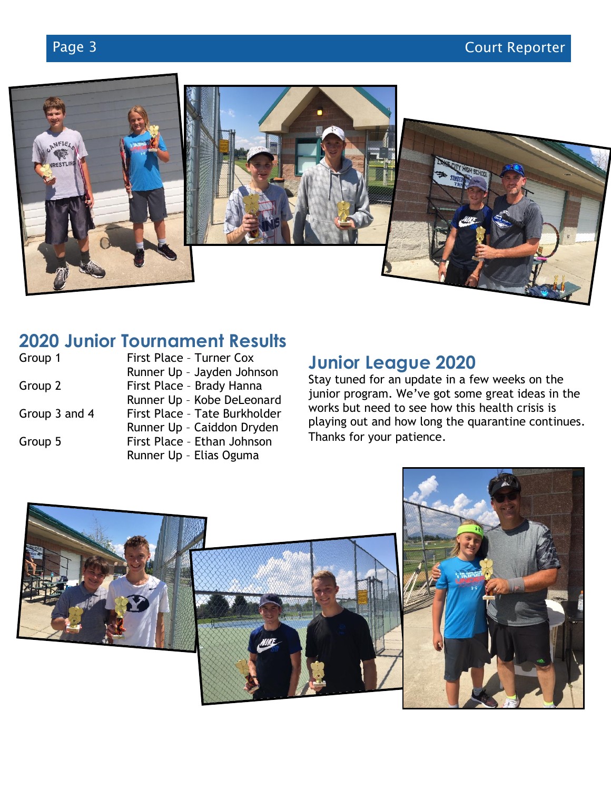

# **2020 Junior Tournament Results**

| Group 1       | First Place - Turner Cox      |
|---------------|-------------------------------|
|               | Runner Up - Jayden Johnson    |
| Group 2       | First Place - Brady Hanna     |
|               | Runner Up - Kobe DeLeonard    |
| Group 3 and 4 | First Place - Tate Burkholder |
|               | Runner Up - Caiddon Dryden    |
| Group 5       | First Place - Ethan Johnson   |
|               | Runner Up - Elias Oguma       |

## **Junior League 2020**

Stay tuned for an update in a few weeks on the junior program. We've got some great ideas in the works but need to see how this health crisis is playing out and how long the quarantine continues. Thanks for your patience.

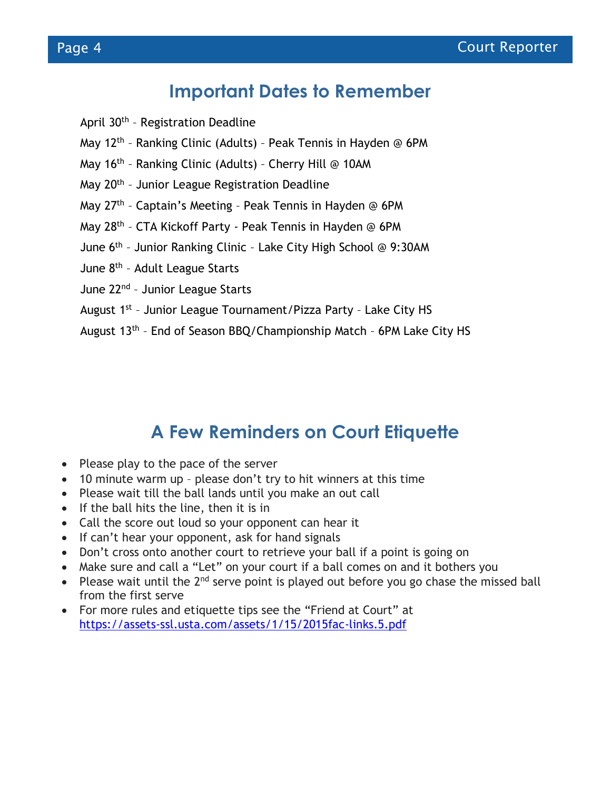### **Important Dates to Remember**

- April 30<sup>th</sup> Registration Deadline
- May 12<sup>th</sup> Ranking Clinic (Adults) Peak Tennis in Hayden @ 6PM
- May 16<sup>th</sup> Ranking Clinic (Adults) Cherry Hill @ 10AM
- May 20<sup>th</sup> Junior League Registration Deadline
- May 27<sup>th</sup> Captain's Meeting Peak Tennis in Hayden @ 6PM
- May 28<sup>th</sup> CTA Kickoff Party Peak Tennis in Hayden @ 6PM
- June 6<sup>th</sup> Junior Ranking Clinic Lake City High School @ 9:30AM
- June 8<sup>th</sup> Adult League Starts
- June 22<sup>nd</sup> Junior League Starts
- August 1<sup>st</sup> Junior League Tournament/Pizza Party Lake City HS
- August 13<sup>th</sup> End of Season BBQ/Championship Match 6PM Lake City HS

## **A Few Reminders on Court Etiquette**

- Please play to the pace of the server
- 10 minute warm up please don't try to hit winners at this time
- Please wait till the ball lands until you make an out call
- If the ball hits the line, then it is in
- Call the score out loud so your opponent can hear it
- If can't hear your opponent, ask for hand signals
- Don't cross onto another court to retrieve your ball if a point is going on
- Make sure and call a "Let" on your court if a ball comes on and it bothers you
- Please wait until the  $2^{nd}$  serve point is played out before you go chase the missed ball from the first serve
- For more rules and etiquette tips see the "Friend at Court" at https://assets-ssl.usta.com/assets/1/15/2015fac-links.5.pdf